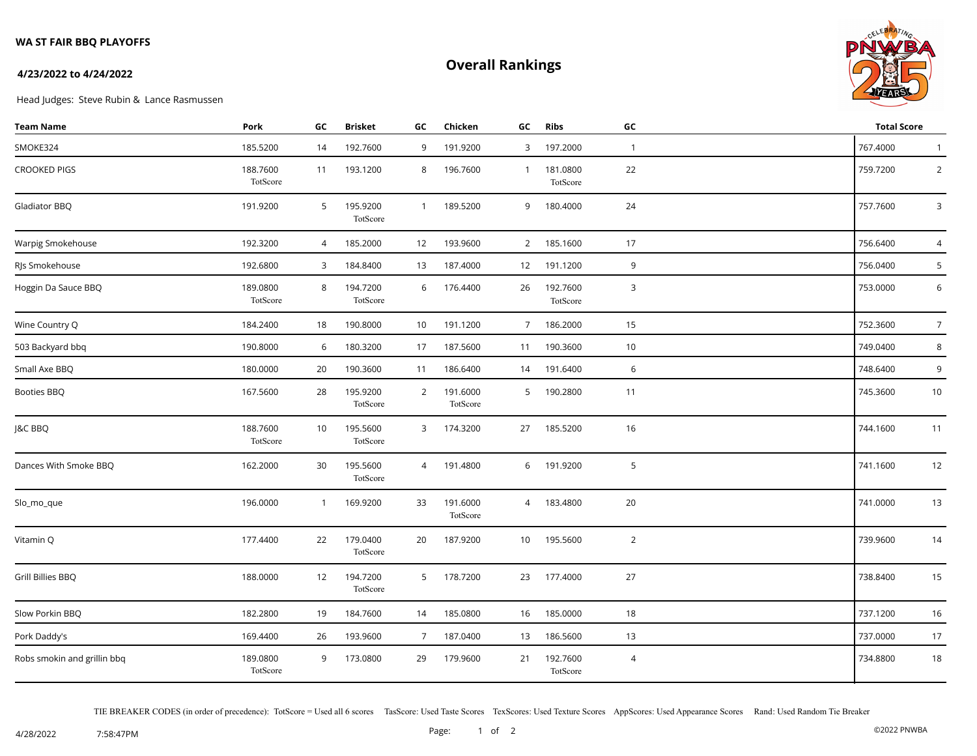### **WA ST FAIR BBQ PLAYOFFS**

# **Overall Rankings**



#### **4/23/2022 to 4/24/2022**

Head Judges: Steve Rubin & Lance Rasmussen

| <b>Team Name</b>            | Pork                 | GC             | <b>Brisket</b>       | GC              | Chicken              | GC             | <b>Ribs</b>          | GC             | <b>Total Score</b> |                |
|-----------------------------|----------------------|----------------|----------------------|-----------------|----------------------|----------------|----------------------|----------------|--------------------|----------------|
| SMOKE324                    | 185.5200             | 14             | 192.7600             | 9               | 191.9200             | 3              | 197.2000             | $\overline{1}$ | 767.4000           | $\mathbf{1}$   |
| <b>CROOKED PIGS</b>         | 188.7600<br>TotScore | 11             | 193.1200             | 8               | 196.7600             | $\overline{1}$ | 181.0800<br>TotScore | 22             | 759.7200           | $\overline{2}$ |
| Gladiator BBQ               | 191.9200             | 5              | 195.9200<br>TotScore | $\mathbf{1}$    | 189.5200             | 9              | 180.4000             | 24             | 757.7600           | 3              |
| Warpig Smokehouse           | 192.3200             | $\overline{4}$ | 185.2000             | 12              | 193.9600             |                | 2 185.1600           | 17             | 756.6400           | 4              |
| RJs Smokehouse              | 192.6800             | 3              | 184.8400             | 13              | 187.4000             | 12             | 191.1200             | 9              | 756.0400           | 5              |
| Hoggin Da Sauce BBQ         | 189.0800<br>TotScore | 8              | 194.7200<br>TotScore | 6               | 176.4400             | 26             | 192.7600<br>TotScore | 3              | 753.0000           | 6              |
| Wine Country Q              | 184.2400             | 18             | 190.8000             | 10 <sup>°</sup> | 191.1200             | $7^{\circ}$    | 186.2000             | 15             | 752.3600           | $\overline{7}$ |
| 503 Backyard bbq            | 190.8000             | 6              | 180.3200             | 17              | 187.5600             | 11             | 190.3600             | 10             | 749.0400           | 8              |
| Small Axe BBQ               | 180.0000             | 20             | 190.3600             | 11              | 186.6400             | 14             | 191.6400             | 6              | 748.6400           | 9              |
| Booties BBQ                 | 167.5600             | 28             | 195.9200<br>TotScore | $\overline{2}$  | 191.6000<br>TotScore | 5              | 190.2800             | 11             | 745.3600           | 10             |
| J&C BBQ                     | 188.7600<br>TotScore | 10             | 195.5600<br>TotScore | 3               | 174.3200             | 27             | 185.5200             | 16             | 744.1600           | 11             |
| Dances With Smoke BBQ       | 162.2000             | 30             | 195.5600<br>TotScore | $\overline{4}$  | 191.4800             | 6              | 191.9200             | 5              | 741.1600           | 12             |
| Slo_mo_que                  | 196.0000             | $\mathbf{1}$   | 169.9200             | 33              | 191.6000<br>TotScore | 4              | 183.4800             | 20             | 741.0000           | 13             |
| Vitamin Q                   | 177.4400             | 22             | 179.0400<br>TotScore | 20              | 187.9200             | 10             | 195.5600             | $\overline{2}$ | 739.9600           | 14             |
| Grill Billies BBQ           | 188.0000             | 12             | 194.7200<br>TotScore | 5               | 178.7200             | 23             | 177.4000             | 27             | 738.8400           | 15             |
| Slow Porkin BBQ             | 182.2800             | 19             | 184.7600             | 14              | 185.0800             | 16             | 185.0000             | 18             | 737.1200           | 16             |
| Pork Daddy's                | 169.4400             | 26             | 193.9600             | $7\overline{ }$ | 187.0400             | 13             | 186.5600             | 13             | 737.0000           | 17             |
| Robs smokin and grillin bbq | 189.0800<br>TotScore | 9              | 173.0800             | 29              | 179.9600             | 21             | 192.7600<br>TotScore | $\overline{4}$ | 734.8800           | 18             |

TIE BREAKER CODES (in order of precedence): TotScore = Used all 6 scores TasScore: Used Taste Scores TexScores: Used Texture Scores AppScores: Used Appearance Scores Rand: Used Random Tie Breaker